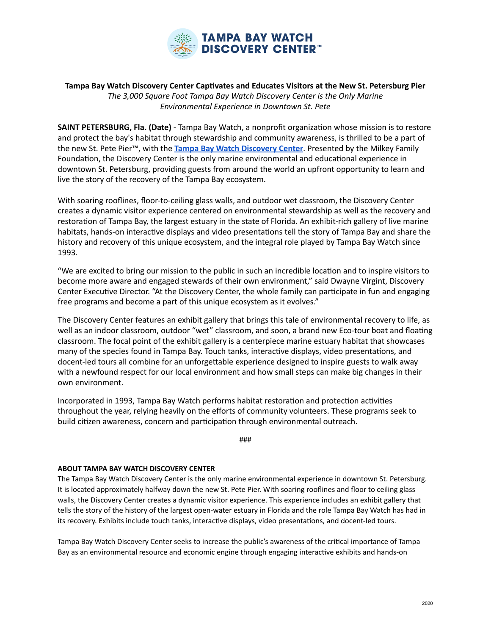

## Tampa Bay Watch Discovery Center Captivates and Educates Visitors at the New St. Petersburg Pier The 3,000 Square Foot Tampa Bay Watch Discovery Center is the Only Marine *Environmental Experience in Downtown St. Pete*

**SAINT PETERSBURG, Fla. (Date)** - Tampa Bay Watch, a nonprofit organization whose mission is to restore and protect the bay's habitat through stewardship and community awareness, is thrilled to be a part of the new St. Pete Pier™, with the **Tampa Bay Watch Discovery Center**. Presented by the Milkey Family Foundation, the Discovery Center is the only marine environmental and educational experience in downtown St. Petersburg, providing guests from around the world an upfront opportunity to learn and live the story of the recovery of the Tampa Bay ecosystem.

With soaring rooflines, floor-to-ceiling glass walls, and outdoor wet classroom, the Discovery Center creates a dynamic visitor experience centered on environmental stewardship as well as the recovery and restoration of Tampa Bay, the largest estuary in the state of Florida. An exhibit-rich gallery of live marine habitats, hands-on interactive displays and video presentations tell the story of Tampa Bay and share the history and recovery of this unique ecosystem, and the integral role played by Tampa Bay Watch since 1993. 

"We are excited to bring our mission to the public in such an incredible location and to inspire visitors to become more aware and engaged stewards of their own environment," said Dwayne Virgint, Discovery Center Executive Director. "At the Discovery Center, the whole family can participate in fun and engaging free programs and become a part of this unique ecosystem as it evolves."

The Discovery Center features an exhibit gallery that brings this tale of environmental recovery to life, as well as an indoor classroom, outdoor "wet" classroom, and soon, a brand new Eco-tour boat and floating classroom. The focal point of the exhibit gallery is a centerpiece marine estuary habitat that showcases many of the species found in Tampa Bay. Touch tanks, interactive displays, video presentations, and docent-led tours all combine for an unforgettable experience designed to inspire guests to walk away with a newfound respect for our local environment and how small steps can make big changes in their own environment.

Incorporated in 1993, Tampa Bay Watch performs habitat restoration and protection activities throughout the year, relying heavily on the efforts of community volunteers. These programs seek to build citizen awareness, concern and participation through environmental outreach.

### 

## **ABOUT TAMPA BAY WATCH DISCOVERY CENTER**

The Tampa Bay Watch Discovery Center is the only marine environmental experience in downtown St. Petersburg. It is located approximately halfway down the new St. Pete Pier. With soaring rooflines and floor to ceiling glass walls, the Discovery Center creates a dynamic visitor experience. This experience includes an exhibit gallery that tells the story of the history of the largest open-water estuary in Florida and the role Tampa Bay Watch has had in its recovery. Exhibits include touch tanks, interactive displays, video presentations, and docent-led tours.

Tampa Bay Watch Discovery Center seeks to increase the public's awareness of the critical importance of Tampa Bay as an environmental resource and economic engine through engaging interactive exhibits and hands-on